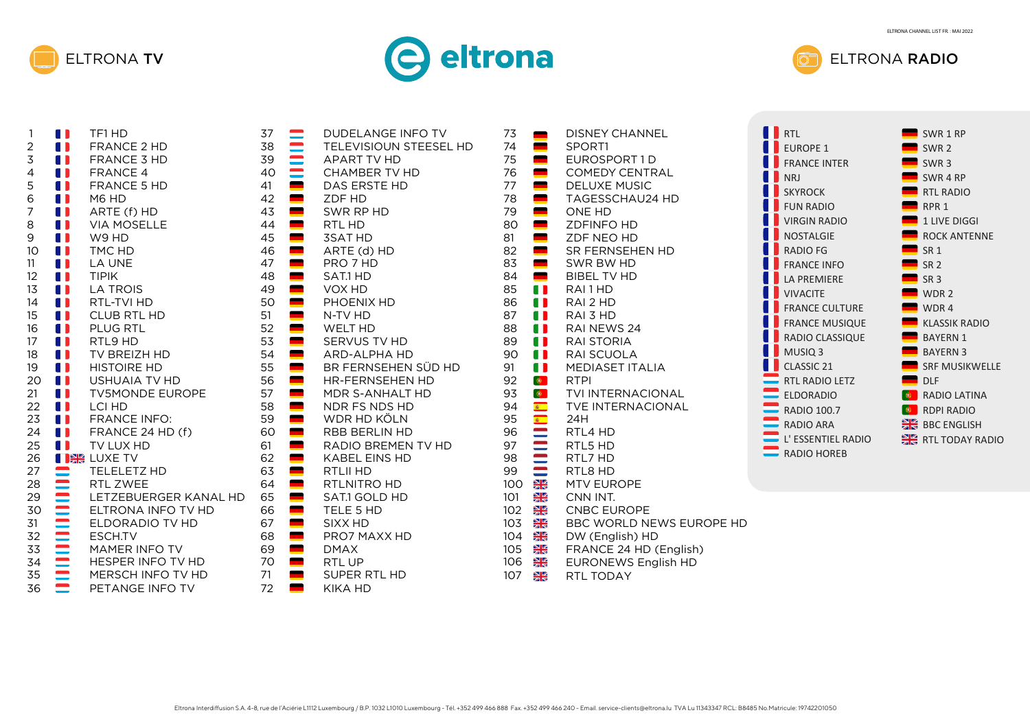





| 1                        | A N<br>TF1 HD                                                                                                                                                                                                                                                |
|--------------------------|--------------------------------------------------------------------------------------------------------------------------------------------------------------------------------------------------------------------------------------------------------------|
| $\overline{c}$           | A 1<br>FRANCE 2 HD                                                                                                                                                                                                                                           |
| 3                        | 11<br><b>FRANCE 3 HD</b>                                                                                                                                                                                                                                     |
| $\overline{\mathcal{L}}$ | 11<br><b>FRANCE 4</b>                                                                                                                                                                                                                                        |
| 5                        | O<br><b>FRANCE 5 HD</b>                                                                                                                                                                                                                                      |
| 6                        | 0<br>M6 HD                                                                                                                                                                                                                                                   |
| 7                        | O<br>ARTE (f) HD                                                                                                                                                                                                                                             |
| 8                        | 0<br><b>VIA MOSELLE</b>                                                                                                                                                                                                                                      |
| 9                        | W9 HD                                                                                                                                                                                                                                                        |
| 10                       | 1<br>TMC HD                                                                                                                                                                                                                                                  |
| 11                       | 11<br><b>LA UNE</b>                                                                                                                                                                                                                                          |
| 12                       | <b>TIPIK</b><br>A N                                                                                                                                                                                                                                          |
| 13                       | A D<br><b>LA TROIS</b>                                                                                                                                                                                                                                       |
| 14                       | O<br>RTL-TVI HD                                                                                                                                                                                                                                              |
| 15                       | O<br><b>CLUB RTL HD</b>                                                                                                                                                                                                                                      |
| 16                       | $\blacksquare$<br><b>PLUG RTL</b>                                                                                                                                                                                                                            |
| 17                       | O<br>RTL9 HD                                                                                                                                                                                                                                                 |
| 18                       | $\blacksquare$<br><b>TV BREIZH HD</b>                                                                                                                                                                                                                        |
| 19                       | <b>HISTOIRE HD</b>                                                                                                                                                                                                                                           |
| 20                       | <b>USHUAIA TV HD</b>                                                                                                                                                                                                                                         |
| 21                       | $\blacksquare$<br><b>TV5MONDE EUROPE</b>                                                                                                                                                                                                                     |
| 22                       | $\blacksquare$<br><b>LCI HD</b>                                                                                                                                                                                                                              |
| 23                       | O<br><b>FRANCE INFO:</b>                                                                                                                                                                                                                                     |
| 24                       | O<br>FRANCE 24 HD (f)                                                                                                                                                                                                                                        |
| 25                       | O<br>TV LUX HD                                                                                                                                                                                                                                               |
| 26                       |                                                                                                                                                                                                                                                              |
| 27                       | TELELETZ HD                                                                                                                                                                                                                                                  |
| 28                       | RTL ZWEE                                                                                                                                                                                                                                                     |
| 29                       | LETZEBUERGER KANAL HD                                                                                                                                                                                                                                        |
| 30                       | ELTRONA INFO TV HD                                                                                                                                                                                                                                           |
| 31                       | ELDORADIO TV HD                                                                                                                                                                                                                                              |
| 32                       |                                                                                                                                                                                                                                                              |
| 33                       | <b>THE EXAMPLE IN A SET AND READ TO A SET A SET AND READ TO A SET A SET AND READ TO A SET A SET AND READ TO A SET A SET AND READ TO A SET A SET ANGLE TO A SET ANGLE THAN A SET AND READ PETANGE SET AND READ TO A SET AND READ </b><br><b>MAMER INFO TV</b> |
| 34                       | HESPER INFO TV HD                                                                                                                                                                                                                                            |
| 35                       | MERSCH INFO TV HD                                                                                                                                                                                                                                            |
| 36                       | PETANGE INFO TV                                                                                                                                                                                                                                              |

| DUDELANGE INFO TV<br>TELEVISIOUN STEESEL HD<br><b>APART TV HD</b><br><b>CHAMBER TV HD</b><br>DAS ERSTE HD<br>ZDF HD<br>SWR RP HD<br>RTL HD<br><b>3SAT HD</b><br>ARTE (d) HD<br>PRO 7 HD<br>SAT.1 HD<br>VOX HD<br>PHOENIX HD<br>N-TV HD | 73<br>74<br>$\blacksquare$<br>75<br>$\blacksquare$<br>76<br>77<br>78<br>79<br>i<br>80<br>81<br>82<br>$\blacksquare$<br>83<br>84<br>$\blacksquare$<br>85<br>Œ<br>O<br>86<br>O<br>87 | DISNEY CHA<br>SPORT1<br>EUROSPOR <sup>-</sup><br><b>COMEDY CE</b><br><b>DELUXE MU</b><br><b>TAGESSCHA</b><br>ONE HD<br>ZDFINFO HD<br>ZDF NEO HD<br><b>SR FERNSEH</b><br>SWR BW HD<br><b>BIBEL TV HD</b><br>RAI1HD<br>RAI 2 HD<br>RAI 3 HD |
|----------------------------------------------------------------------------------------------------------------------------------------------------------------------------------------------------------------------------------------|------------------------------------------------------------------------------------------------------------------------------------------------------------------------------------|-------------------------------------------------------------------------------------------------------------------------------------------------------------------------------------------------------------------------------------------|
| RADIO BREMEN TV HD<br><b>KABEL EINS HD</b>                                                                                                                                                                                             | <b>SECTED</b><br>97<br>98                                                                                                                                                          | RTL5 HD<br>RTL7 HD                                                                                                                                                                                                                        |
| RTLII HD<br>RTLNITRO HD                                                                                                                                                                                                                | 99<br>$\frac{N}{Z}$<br>100                                                                                                                                                         | RTL8 HD<br><b>MTV EUROP</b>                                                                                                                                                                                                               |
| SAT.1 GOLD HD<br>TELE 5 HD                                                                                                                                                                                                             | $\frac{N}{Z}$<br>101<br>$\frac{N}{Z}$<br>102                                                                                                                                       | CNN INT.<br><b>CNBC EURC</b>                                                                                                                                                                                                              |
| SIXX HD<br>PRO7 MAXX HD<br><b>DMAX</b>                                                                                                                                                                                                 | $\frac{N}{Z}$<br>10 <sub>3</sub><br>$\frac{N}{Z}$<br>104<br>NK<br>2N<br>105                                                                                                        | <b>BBC WORLD</b><br>DW (English<br>FRANCE 24                                                                                                                                                                                              |
| RTL UP<br>SUPER RTL HD                                                                                                                                                                                                                 | $\frac{N}{2}$<br>106<br>107<br>$\frac{N}{N}$                                                                                                                                       | <b>EURONEWS</b><br>RTL TODAY                                                                                                                                                                                                              |
| <b>KIKA HD</b>                                                                                                                                                                                                                         |                                                                                                                                                                                    |                                                                                                                                                                                                                                           |

|                             | DISNEY CHANNEL<br>SPORT1<br>EUROSPORT1D<br>COMEDY CENTRAL<br>DELUXE MUSIC<br>TAGESSCHAU24 HD<br>ONE HD<br>ZDFINFO HD<br>ZDF NEO HD<br>SR FERNSEHEN HD<br>SR FERNSEHEN HD<br>BIBEL TV HD<br>RAI 1 HD<br>RAI 2 HD<br>RAI 3 HD<br><b>TAGESSCHAU24 HD</b> |
|-----------------------------|-------------------------------------------------------------------------------------------------------------------------------------------------------------------------------------------------------------------------------------------------------|
|                             |                                                                                                                                                                                                                                                       |
|                             |                                                                                                                                                                                                                                                       |
|                             |                                                                                                                                                                                                                                                       |
|                             |                                                                                                                                                                                                                                                       |
|                             |                                                                                                                                                                                                                                                       |
|                             |                                                                                                                                                                                                                                                       |
|                             |                                                                                                                                                                                                                                                       |
|                             | RAI 3 HD<br>RAI NEWS 24                                                                                                                                                                                                                               |
|                             | <b>I</b> RAI STORIA                                                                                                                                                                                                                                   |
|                             | <b>I</b> RAI SCUOLA<br><b>I</b> MEDIASET ITALIA                                                                                                                                                                                                       |
|                             |                                                                                                                                                                                                                                                       |
|                             | <b>EXERCISE AND MEDIASE ITALIA</b><br>RTPI<br>TVI INTERNACIONAL<br>TVE INTERNACIONAL<br>24H<br>RTL4 HD<br>RTL5 HD<br>RTL5 HD<br>RTL8 HD<br>MTV EUROPE<br>CNN INT                                                                                      |
|                             |                                                                                                                                                                                                                                                       |
|                             |                                                                                                                                                                                                                                                       |
|                             |                                                                                                                                                                                                                                                       |
|                             |                                                                                                                                                                                                                                                       |
|                             |                                                                                                                                                                                                                                                       |
|                             |                                                                                                                                                                                                                                                       |
|                             | $\frac{28}{28}$ CNN INT.                                                                                                                                                                                                                              |
|                             | <b>米</b> CNBC EUROPE                                                                                                                                                                                                                                  |
| $\frac{N}{Z}$               | BBC WORLD NEWS EUROPE HD                                                                                                                                                                                                                              |
| $\frac{\Delta V}{\Delta N}$ | DW (English) HD                                                                                                                                                                                                                                       |
|                             | <b>米</b> FRANCE 24 HD (English)                                                                                                                                                                                                                       |
| <b>SIZ</b><br>zis           | <b>EURONEWS English HD</b>                                                                                                                                                                                                                            |